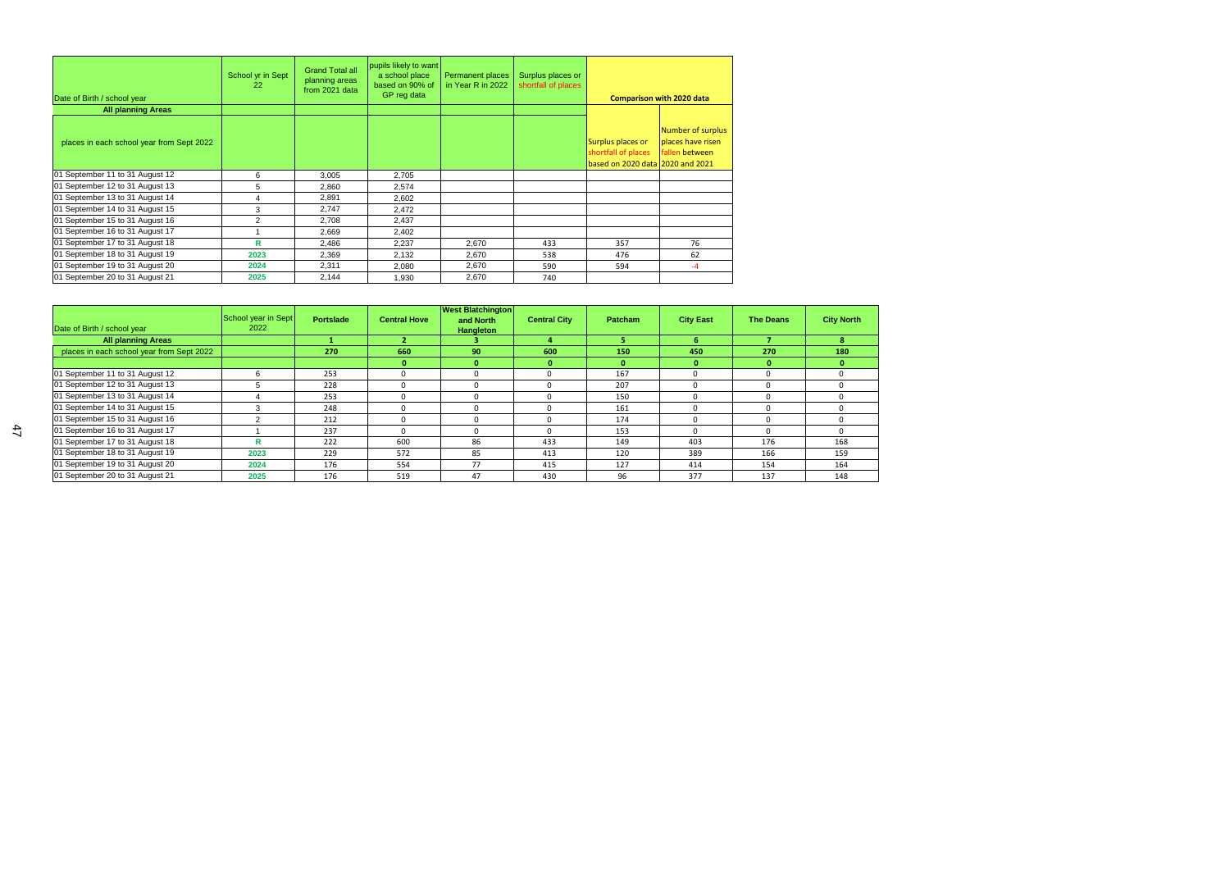| Date of Birth / school year               | School yr in Sept<br>22 | <b>Grand Total all</b><br>planning areas<br>from 2021 data | pupils likely to want<br>a school place<br>based on 90% of<br>GP reg data | <b>Permanent places</b><br>in Year R in 2022 | Surplus places or<br>shortfall of places |                                                                              | <b>Comparison with 2020 data</b>                         |
|-------------------------------------------|-------------------------|------------------------------------------------------------|---------------------------------------------------------------------------|----------------------------------------------|------------------------------------------|------------------------------------------------------------------------------|----------------------------------------------------------|
| <b>All planning Areas</b>                 |                         |                                                            |                                                                           |                                              |                                          |                                                                              |                                                          |
| places in each school year from Sept 2022 |                         |                                                            |                                                                           |                                              |                                          | Surplus places or<br>shortfall of places<br>based on 2020 data 2020 and 2021 | Number of surplus<br>places have risen<br>fallen between |
| 01 September 11 to 31 August 12           | 6                       | 3,005                                                      | 2,705                                                                     |                                              |                                          |                                                                              |                                                          |
| 01 September 12 to 31 August 13           | 5                       | 2,860                                                      | 2,574                                                                     |                                              |                                          |                                                                              |                                                          |
| 01 September 13 to 31 August 14           | 4                       | 2,891                                                      | 2,602                                                                     |                                              |                                          |                                                                              |                                                          |
| 01 September 14 to 31 August 15           | 3                       | 2,747                                                      | 2,472                                                                     |                                              |                                          |                                                                              |                                                          |
| 01 September 15 to 31 August 16           | 2                       | 2,708                                                      | 2,437                                                                     |                                              |                                          |                                                                              |                                                          |
| 01 September 16 to 31 August 17           |                         | 2,669                                                      | 2,402                                                                     |                                              |                                          |                                                                              |                                                          |
| 01 September 17 to 31 August 18           | R                       | 2,486                                                      | 2,237                                                                     | 2,670                                        | 433                                      | 357                                                                          | 76                                                       |
| 01 September 18 to 31 August 19           | 2023                    | 2,369                                                      | 2,132                                                                     | 2,670                                        | 538                                      | 476                                                                          | 62                                                       |
| 01 September 19 to 31 August 20           | 2024                    | 2,311                                                      | 2,080                                                                     | 2,670                                        | 590                                      | 594                                                                          | $-4$                                                     |
| 01 September 20 to 31 August 21           | 2025                    | 2,144                                                      | 1,930                                                                     | 2,670                                        | 740                                      |                                                                              |                                                          |

| Date of Birth / school year               | School year in Sept<br>2022 | <b>Portslade</b> | <b>Central Hove</b> | <b>West Blatchington</b><br>and North<br>Hangleton | <b>Central City</b> | <b>Patcham</b> | <b>City East</b> | <b>The Deans</b> | <b>City North</b> |
|-------------------------------------------|-----------------------------|------------------|---------------------|----------------------------------------------------|---------------------|----------------|------------------|------------------|-------------------|
| <b>All planning Areas</b>                 |                             |                  |                     |                                                    |                     |                |                  |                  |                   |
| places in each school year from Sept 2022 |                             | 270              | 660                 | 90                                                 | 600                 | 150            | 450              | 270              | 180               |
|                                           |                             |                  | $\bf{0}$            | $\bf{0}$                                           |                     |                |                  |                  |                   |
| 01 September 11 to 31 August 12           |                             | 253              | $\Omega$            | n                                                  |                     | 167            |                  |                  | $\Omega$          |
| 01 September 12 to 31 August 13           |                             | 228              | $\Omega$            | $\Omega$                                           |                     | 207            | $\Omega$         | O                | $\Omega$          |
| 01 September 13 to 31 August 14           |                             | 253              | n                   |                                                    |                     | 150            |                  |                  |                   |
| 01 September 14 to 31 August 15           |                             | 248              | <sup>0</sup>        | <sup>0</sup>                                       |                     | 161            |                  |                  | $\Omega$          |
| 01 September 15 to 31 August 16           |                             | 212              | $\Omega$            | $\Omega$                                           |                     | 174            |                  | n                | $\Omega$          |
| 01 September 16 to 31 August 17           |                             | 237              | <sup>0</sup>        |                                                    |                     | 153            | <sup>n</sup>     |                  | $\Omega$          |
| 01 September 17 to 31 August 18           |                             | 222              | 600                 | 86                                                 | 433                 | 149            | 403              | 176              | 168               |
| 01 September 18 to 31 August 19           | 2023                        | 229              | 572                 | 85                                                 | 413                 | 120            | 389              | 166              | 159               |
| 01 September 19 to 31 August 20           | 2024                        | 176              | 554                 | 77                                                 | 415                 | 127            | 414              | 154              | 164               |
| 01 September 20 to 31 August 21           | 2025                        | 176              | 519                 | 47                                                 | 430                 | 96             | 377              | 137              | 148               |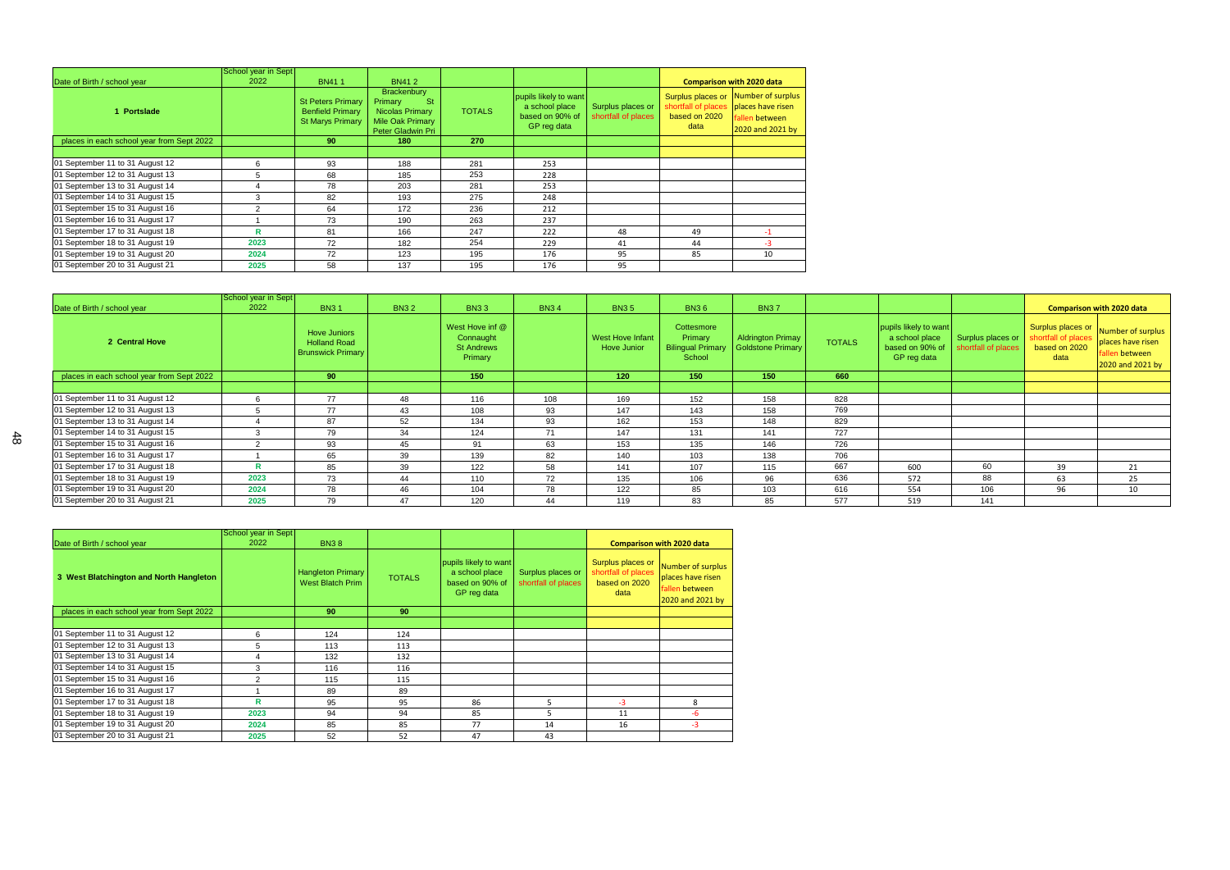|                                           | School year in Sept |                                                                                |                                                                                                                      |               |                                                                           |                                          |                                                                   |                                                                              |
|-------------------------------------------|---------------------|--------------------------------------------------------------------------------|----------------------------------------------------------------------------------------------------------------------|---------------|---------------------------------------------------------------------------|------------------------------------------|-------------------------------------------------------------------|------------------------------------------------------------------------------|
| Date of Birth / school year               | 2022                | <b>BN411</b>                                                                   | <b>BN412</b>                                                                                                         |               |                                                                           |                                          |                                                                   | <b>Comparison with 2020 data</b>                                             |
| 1 Portslade                               |                     | <b>St Peters Primary</b><br><b>Benfield Primary</b><br><b>St Marys Primary</b> | <b>Brackenbury</b><br>Primary<br><b>St</b><br><b>Nicolas Primary</b><br><b>Mile Oak Primary</b><br>Peter Gladwin Pri | <b>TOTALS</b> | pupils likely to want<br>a school place<br>based on 90% of<br>GP reg data | Surplus places or<br>shortfall of places | Surplus places or<br>shortfall of places<br>based on 2020<br>data | Number of surplus<br>places have risen<br>fallen between<br>2020 and 2021 by |
| places in each school year from Sept 2022 |                     | 90 <sub>o</sub>                                                                | 180                                                                                                                  | 270           |                                                                           |                                          |                                                                   |                                                                              |
|                                           |                     |                                                                                |                                                                                                                      |               |                                                                           |                                          |                                                                   |                                                                              |
| 01 September 11 to 31 August 12           | 6                   | 93                                                                             | 188                                                                                                                  | 281           | 253                                                                       |                                          |                                                                   |                                                                              |
| 01 September 12 to 31 August 13           | 5                   | 68                                                                             | 185                                                                                                                  | 253           | 228                                                                       |                                          |                                                                   |                                                                              |
| 01 September 13 to 31 August 14           | 4                   | 78                                                                             | 203                                                                                                                  | 281           | 253                                                                       |                                          |                                                                   |                                                                              |
| 01 September 14 to 31 August 15           | 3                   | 82                                                                             | 193                                                                                                                  | 275           | 248                                                                       |                                          |                                                                   |                                                                              |
| 01 September 15 to 31 August 16           | 2                   | 64                                                                             | 172                                                                                                                  | 236           | 212                                                                       |                                          |                                                                   |                                                                              |
| 01 September 16 to 31 August 17           |                     | 73                                                                             | 190                                                                                                                  | 263           | 237                                                                       |                                          |                                                                   |                                                                              |
| 01 September 17 to 31 August 18           | R                   | 81                                                                             | 166                                                                                                                  | 247           | 222                                                                       | 48                                       | 49                                                                |                                                                              |
| 01 September 18 to 31 August 19           | 2023                | 72                                                                             | 182                                                                                                                  | 254           | 229                                                                       | 41                                       | 44                                                                | -3                                                                           |
| 01 September 19 to 31 August 20           | 2024                | 72                                                                             | 123                                                                                                                  | 195           | 176                                                                       | 95                                       | 85                                                                | 10                                                                           |
| 01 September 20 to 31 August 21           | 2025                | 58                                                                             | 137                                                                                                                  | 195           | 176                                                                       | 95                                       |                                                                   |                                                                              |

|                                           | School year in Sept |                                                                        |             |                                                              |             |                                 |                                                             |                                               |               |                                                                           |                                          |                                                                   |                                                                              |
|-------------------------------------------|---------------------|------------------------------------------------------------------------|-------------|--------------------------------------------------------------|-------------|---------------------------------|-------------------------------------------------------------|-----------------------------------------------|---------------|---------------------------------------------------------------------------|------------------------------------------|-------------------------------------------------------------------|------------------------------------------------------------------------------|
| Date of Birth / school year               | 2022                | <b>BN31</b>                                                            | <b>BN32</b> | <b>BN33</b>                                                  | <b>BN34</b> | <b>BN35</b>                     | <b>BN36</b>                                                 | <b>BN37</b>                                   |               |                                                                           |                                          |                                                                   | <b>Comparison with 2020 data</b>                                             |
| 2 Central Hove                            |                     | <b>Hove Juniors</b><br><b>Holland Road</b><br><b>Brunswick Primary</b> |             | West Hove inf @<br>Connaught<br><b>St Andrews</b><br>Primary |             | West Hove Infant<br>Hove Junior | Cottesmore<br>Primary<br><b>Bilingual Primary</b><br>School | <b>Aldrington Primay</b><br>Goldstone Primary | <b>TOTALS</b> | pupils likely to want<br>a school place<br>based on 90% of<br>GP reg data | Surplus places or<br>shortfall of places | Surplus places or<br>shortfall of places<br>based on 2020<br>data | Number of surplus<br>places have risen<br>fallen between<br>2020 and 2021 by |
| places in each school year from Sept 2022 |                     | 90                                                                     |             | 150                                                          |             | 120                             | 150                                                         | 150                                           | 660           |                                                                           |                                          |                                                                   |                                                                              |
|                                           |                     |                                                                        |             |                                                              |             |                                 |                                                             |                                               |               |                                                                           |                                          |                                                                   |                                                                              |
| 01 September 11 to 31 August 12           |                     | 77                                                                     | 48          | 116                                                          | 108         | 169                             | 152                                                         | 158                                           | 828           |                                                                           |                                          |                                                                   |                                                                              |
| 01 September 12 to 31 August 13           |                     | 77                                                                     | 43          | 108                                                          | 93          | 147                             | 143                                                         | 158                                           | 769           |                                                                           |                                          |                                                                   |                                                                              |
| 01 September 13 to 31 August 14           |                     | 87                                                                     | 52          | 134                                                          | 93          | 162                             | 153                                                         | 148                                           | 829           |                                                                           |                                          |                                                                   |                                                                              |
| 01 September 14 to 31 August 15           |                     | 79                                                                     | 34          | 124                                                          | 71          | 147                             | 131                                                         | 141                                           | 727           |                                                                           |                                          |                                                                   |                                                                              |
| 01 September 15 to 31 August 16           |                     | 93                                                                     | 45          | 91                                                           | 63          | 153                             | 135                                                         | 146                                           | 726           |                                                                           |                                          |                                                                   |                                                                              |
| 01 September 16 to 31 August 17           |                     | 65                                                                     | 39          | 139                                                          | 82          | 140                             | 103                                                         | 138                                           | 706           |                                                                           |                                          |                                                                   |                                                                              |
| 01 September 17 to 31 August 18           |                     | 85                                                                     | 39          | 122                                                          | 58          | 141                             | 107                                                         | 115                                           | 667           | 600                                                                       | 60                                       | 39                                                                | 21                                                                           |
| 01 September 18 to 31 August 19           | 2023                | 73                                                                     | 44          | 110                                                          | 72          | 135                             | 106                                                         | 96                                            | 636           | 572                                                                       | 88                                       | 63                                                                | 25                                                                           |
| 01 September 19 to 31 August 20           | 2024                | 78                                                                     | 46          | 104                                                          | 78          | 122                             | 85                                                          | 103                                           | 616           | 554                                                                       | 106                                      | 96                                                                | 10                                                                           |
| 01 September 20 to 31 August 21           | 2025                | 79                                                                     | 47          | 120                                                          | 44          | 119                             | 83                                                          | 85                                            | 577           | 519                                                                       | 141                                      |                                                                   |                                                                              |

|                                           | School year in Sept |                                                     |               |                                                                           |                                          |                                                                   |                                                                              |
|-------------------------------------------|---------------------|-----------------------------------------------------|---------------|---------------------------------------------------------------------------|------------------------------------------|-------------------------------------------------------------------|------------------------------------------------------------------------------|
| Date of Birth / school year               | 2022                | <b>BN38</b>                                         |               |                                                                           |                                          |                                                                   | <b>Comparison with 2020 data</b>                                             |
| 3 West Blatchington and North Hangleton   |                     | <b>Hangleton Primary</b><br><b>West Blatch Prim</b> | <b>TOTALS</b> | pupils likely to want<br>a school place<br>based on 90% of<br>GP reg data | Surplus places or<br>shortfall of places | Surplus places or<br>shortfall of places<br>based on 2020<br>data | Number of surplus<br>places have risen<br>fallen between<br>2020 and 2021 by |
| places in each school year from Sept 2022 |                     | 90                                                  | 90            |                                                                           |                                          |                                                                   |                                                                              |
|                                           |                     |                                                     |               |                                                                           |                                          |                                                                   |                                                                              |
| 01 September 11 to 31 August 12           | 6                   | 124                                                 | 124           |                                                                           |                                          |                                                                   |                                                                              |
| 01 September 12 to 31 August 13           | 5                   | 113                                                 | 113           |                                                                           |                                          |                                                                   |                                                                              |
| 01 September 13 to 31 August 14           | 4                   | 132                                                 | 132           |                                                                           |                                          |                                                                   |                                                                              |
| 01 September 14 to 31 August 15           | 3                   | 116                                                 | 116           |                                                                           |                                          |                                                                   |                                                                              |
| 01 September 15 to 31 August 16           | 2                   | 115                                                 | 115           |                                                                           |                                          |                                                                   |                                                                              |
| 01 September 16 to 31 August 17           |                     | 89                                                  | 89            |                                                                           |                                          |                                                                   |                                                                              |
| 01 September 17 to 31 August 18           | R                   | 95                                                  | 95            | 86                                                                        | 5                                        | $-3$                                                              | 8                                                                            |
| 01 September 18 to 31 August 19           | 2023                | 94                                                  | 94            | 85                                                                        | 5                                        | 11                                                                | $-6$                                                                         |
| 01 September 19 to 31 August 20           | 2024                | 85                                                  | 85            | 77                                                                        | 14                                       | 16                                                                | $-3$                                                                         |
| 01 September 20 to 31 August 21           | 2025                | 52                                                  | 52            | 47                                                                        | 43                                       |                                                                   |                                                                              |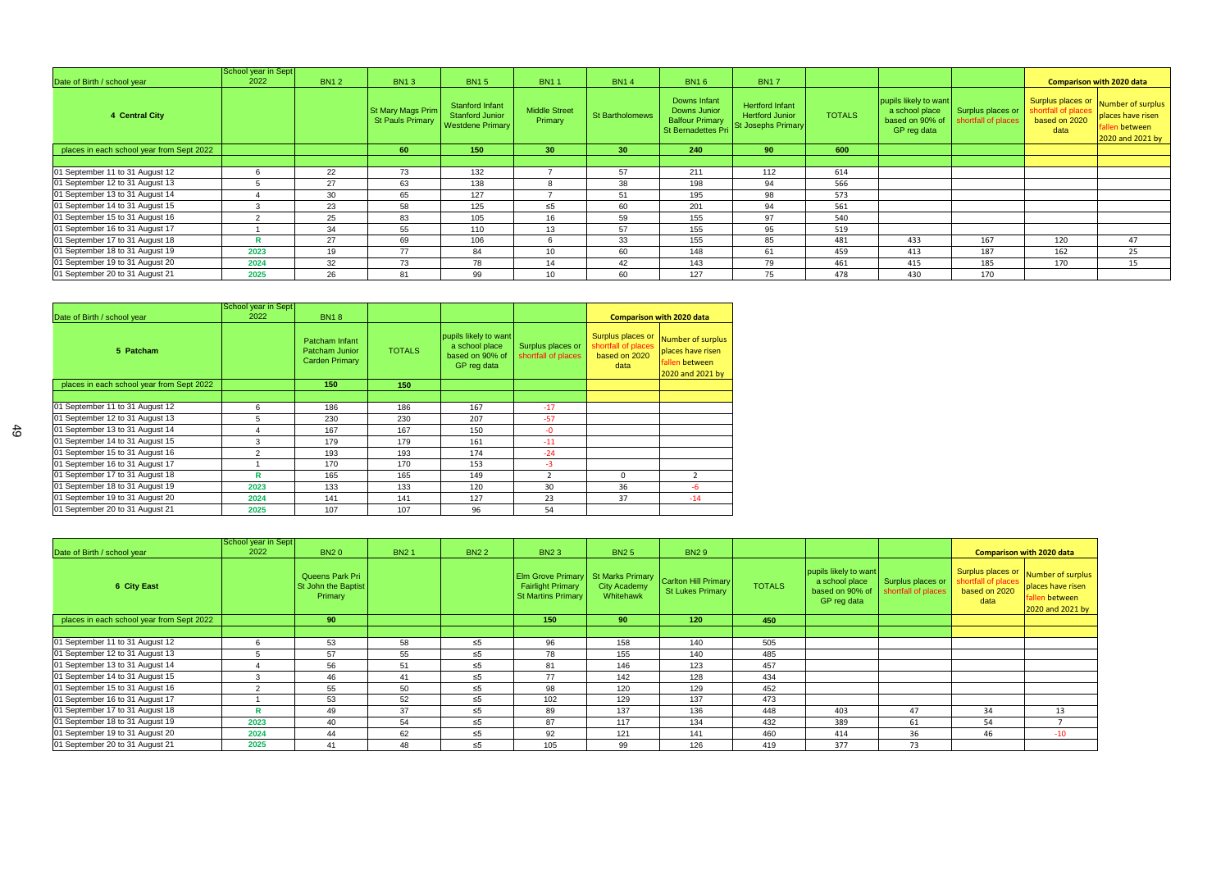|                                           | School year in Sept |             |                                              |                                                               |                                 |                        |                                                                                     |                                                                               |               |                                                                           |                                          |                                                                   |                                                                              |
|-------------------------------------------|---------------------|-------------|----------------------------------------------|---------------------------------------------------------------|---------------------------------|------------------------|-------------------------------------------------------------------------------------|-------------------------------------------------------------------------------|---------------|---------------------------------------------------------------------------|------------------------------------------|-------------------------------------------------------------------|------------------------------------------------------------------------------|
| Date of Birth / school year               | 2022                | <b>BN12</b> | <b>BN13</b>                                  | <b>BN15</b>                                                   | <b>BN11</b>                     | <b>BN14</b>            | <b>BN16</b>                                                                         | <b>BN17</b>                                                                   |               |                                                                           |                                          |                                                                   | <b>Comparison with 2020 data</b>                                             |
| 4 Central City                            |                     |             | St Mary Mags Prim<br><b>St Pauls Primary</b> | Stanford Infant<br>Stanford Junior<br><b>Westdene Primary</b> | <b>Middle Street</b><br>Primary | <b>St Bartholomews</b> | Downs Infant<br>Downs Junior<br><b>Balfour Primary</b><br><b>St Bernadettes Pri</b> | <b>Hertford Infant</b><br><b>Hertford Junior</b><br><b>St Josephs Primary</b> | <b>TOTALS</b> | pupils likely to want<br>a school place<br>based on 90% of<br>GP reg data | Surplus places or<br>shortfall of places | Surplus places or<br>shortfall of places<br>based on 2020<br>data | Number of surplus<br>places have risen<br>fallen between<br>2020 and 2021 by |
| places in each school year from Sept 2022 |                     |             | 60                                           | 150                                                           | 30 <sub>1</sub>                 | 30 <sub>1</sub>        | 240                                                                                 | 90 <sub>1</sub>                                                               | 600           |                                                                           |                                          |                                                                   |                                                                              |
|                                           |                     |             |                                              |                                                               |                                 |                        |                                                                                     |                                                                               |               |                                                                           |                                          |                                                                   |                                                                              |
| 01 September 11 to 31 August 12           |                     | 22          | 73                                           | 132                                                           |                                 | 57                     | 211                                                                                 | 112                                                                           | 614           |                                                                           |                                          |                                                                   |                                                                              |
| 01 September 12 to 31 August 13           |                     | 27          | 63                                           | 138                                                           |                                 | 38                     | 198                                                                                 | 94                                                                            | 566           |                                                                           |                                          |                                                                   |                                                                              |
| 01 September 13 to 31 August 14           |                     | 30          | 65                                           | 127                                                           |                                 | 51                     | 195                                                                                 | 98                                                                            | 573           |                                                                           |                                          |                                                                   |                                                                              |
| 01 September 14 to 31 August 15           | 3                   | 23          | 58                                           | 125                                                           | $\leq 5$                        | 60                     | 201                                                                                 | 94                                                                            | 561           |                                                                           |                                          |                                                                   |                                                                              |
| 01 September 15 to 31 August 16           |                     | 25          | 83                                           | 105                                                           | 16                              | 59                     | 155                                                                                 | 97                                                                            | 540           |                                                                           |                                          |                                                                   |                                                                              |
| 01 September 16 to 31 August 17           |                     | 34          | 55                                           | 110                                                           | 13                              | 57                     | 155                                                                                 | 95                                                                            | 519           |                                                                           |                                          |                                                                   |                                                                              |
| 01 September 17 to 31 August 18           |                     | 27          | 69                                           | 106                                                           |                                 | 33                     | 155                                                                                 | 85                                                                            | 481           | 433                                                                       | 167                                      | 120                                                               | 47                                                                           |
| 01 September 18 to 31 August 19           | 2023                | 19          | 77                                           | 84                                                            | 10                              | 60                     | 148                                                                                 | 61                                                                            | 459           | 413                                                                       | 187                                      | 162                                                               | 25                                                                           |
| 01 September 19 to 31 August 20           | 2024                | 32          | 73                                           | 78                                                            | 14                              | 42                     | 143                                                                                 | 79                                                                            | 461           | 415                                                                       | 185                                      | 170                                                               | 15                                                                           |
| 01 September 20 to 31 August 21           | 2025                | 26          | 81                                           | 99                                                            | 10 <sup>°</sup>                 | 60                     | 127                                                                                 | 75                                                                            | 478           | 430                                                                       | 170                                      |                                                                   |                                                                              |

|                                           | School year in Sept |                                                           |               |                                                                           |                                          |                                                                   |                                                                              |
|-------------------------------------------|---------------------|-----------------------------------------------------------|---------------|---------------------------------------------------------------------------|------------------------------------------|-------------------------------------------------------------------|------------------------------------------------------------------------------|
| Date of Birth / school year               | 2022                | <b>BN18</b>                                               |               |                                                                           |                                          |                                                                   | <b>Comparison with 2020 data</b>                                             |
| 5 Patcham                                 |                     | Patcham Infant<br>Patcham Junior<br><b>Carden Primary</b> | <b>TOTALS</b> | pupils likely to want<br>a school place<br>based on 90% of<br>GP reg data | Surplus places or<br>shortfall of places | Surplus places or<br>shortfall of places<br>based on 2020<br>data | Number of surplus<br>places have risen<br>fallen between<br>2020 and 2021 by |
| places in each school year from Sept 2022 |                     | 150                                                       | 150           |                                                                           |                                          |                                                                   |                                                                              |
|                                           |                     |                                                           |               |                                                                           |                                          |                                                                   |                                                                              |
| 01 September 11 to 31 August 12           | 6                   | 186                                                       | 186           | 167                                                                       | $-17$                                    |                                                                   |                                                                              |
| 01 September 12 to 31 August 13           | 5                   | 230                                                       | 230           | 207                                                                       | $-57$                                    |                                                                   |                                                                              |
| 01 September 13 to 31 August 14           | 4                   | 167                                                       | 167           | 150                                                                       | -0                                       |                                                                   |                                                                              |
| 01 September 14 to 31 August 15           | 3                   | 179                                                       | 179           | 161                                                                       | $-11$                                    |                                                                   |                                                                              |
| 01 September 15 to 31 August 16           | 2                   | 193                                                       | 193           | 174                                                                       | $-24$                                    |                                                                   |                                                                              |
| 01 September 16 to 31 August 17           |                     | 170                                                       | 170           | 153                                                                       | -3                                       |                                                                   |                                                                              |
| 01 September 17 to 31 August 18           | R                   | 165                                                       | 165           | 149                                                                       | $\mathfrak{p}$                           | $\Omega$                                                          |                                                                              |
| 01 September 18 to 31 August 19           | 2023                | 133                                                       | 133           | 120                                                                       | 30                                       | 36                                                                | $-6$                                                                         |
| 01 September 19 to 31 August 20           | 2024                | 141                                                       | 141           | 127                                                                       | 23                                       | 37                                                                | $-14$                                                                        |
| 01 September 20 to 31 August 21           | 2025                | 107                                                       | 107           | 96                                                                        | 54                                       |                                                                   |                                                                              |

|                                           | School year in Sept |                                                   |             |             |                                                                                   |                                                      |                                                 |               |                                                                           |                                          |                                              |                                                                                                |
|-------------------------------------------|---------------------|---------------------------------------------------|-------------|-------------|-----------------------------------------------------------------------------------|------------------------------------------------------|-------------------------------------------------|---------------|---------------------------------------------------------------------------|------------------------------------------|----------------------------------------------|------------------------------------------------------------------------------------------------|
| Date of Birth / school year               | 2022                | <b>BN20</b>                                       | <b>BN21</b> | <b>BN22</b> | <b>BN23</b>                                                                       | <b>BN25</b>                                          | <b>BN29</b>                                     |               |                                                                           |                                          |                                              | <b>Comparison with 2020 data</b>                                                               |
| 6 City East                               |                     | Queens Park Pri<br>St John the Baptist<br>Primary |             |             | <b>Elm Grove Primary</b><br><b>Fairlight Primary</b><br><b>St Martins Primary</b> | <b>St Marks Primary</b><br>City Academy<br>Whitehawk | Carlton Hill Primary<br><b>St Lukes Primary</b> | <b>TOTALS</b> | pupils likely to want<br>a school place<br>based on 90% of<br>GP reg data | Surplus places or<br>shortfall of places | shortfall of places<br>based on 2020<br>data | Surplus places or Number of surplus<br>places have risen<br>fallen between<br>2020 and 2021 by |
| places in each school year from Sept 2022 |                     | 90                                                |             |             | 150                                                                               | 90 <sub>1</sub>                                      | 120                                             | 450           |                                                                           |                                          |                                              |                                                                                                |
|                                           |                     |                                                   |             |             |                                                                                   |                                                      |                                                 |               |                                                                           |                                          |                                              |                                                                                                |
| 01 September 11 to 31 August 12           | 6                   | 53                                                | 58          | $\leq 5$    | 96                                                                                | 158                                                  | 140                                             | 505           |                                                                           |                                          |                                              |                                                                                                |
| 01 September 12 to 31 August 13           |                     | 57                                                | 55          | $\leq 5$    | 78                                                                                | 155                                                  | 140                                             | 485           |                                                                           |                                          |                                              |                                                                                                |
| 01 September 13 to 31 August 14           |                     | 56                                                | 51          | $\leq 5$    | 81                                                                                | 146                                                  | 123                                             | 457           |                                                                           |                                          |                                              |                                                                                                |
| 01 September 14 to 31 August 15           |                     | 46                                                | 41          | $\leq 5$    | 77                                                                                | 142                                                  | 128                                             | 434           |                                                                           |                                          |                                              |                                                                                                |
| 01 September 15 to 31 August 16           | - 2                 | 55                                                | 50          | $\leq 5$    | 98                                                                                | 120                                                  | 129                                             | 452           |                                                                           |                                          |                                              |                                                                                                |
| 01 September 16 to 31 August 17           |                     | 53                                                | 52          | $\leq 5$    | 102                                                                               | 129                                                  | 137                                             | 473           |                                                                           |                                          |                                              |                                                                                                |
| 01 September 17 to 31 August 18           | R                   | 49                                                | 37          | ≤5          | 89                                                                                | 137                                                  | 136                                             | 448           | 403                                                                       | 47                                       | 34                                           | 13                                                                                             |
| 01 September 18 to 31 August 19           | 2023                | 40                                                | 54          | $\leq 5$    | 87                                                                                | 117                                                  | 134                                             | 432           | 389                                                                       | 61                                       | 54                                           |                                                                                                |
| 01 September 19 to 31 August 20           | 2024                | 44                                                | 62          | $\leq 5$    | 92                                                                                | 121                                                  | 141                                             | 460           | 414                                                                       | 36                                       | 46                                           | $-10$                                                                                          |
| 01 September 20 to 31 August 21           | 2025                | 41                                                | 48          | $\leq 5$    | 105                                                                               | 99                                                   | 126                                             | 419           | 377                                                                       | 73                                       |                                              |                                                                                                |